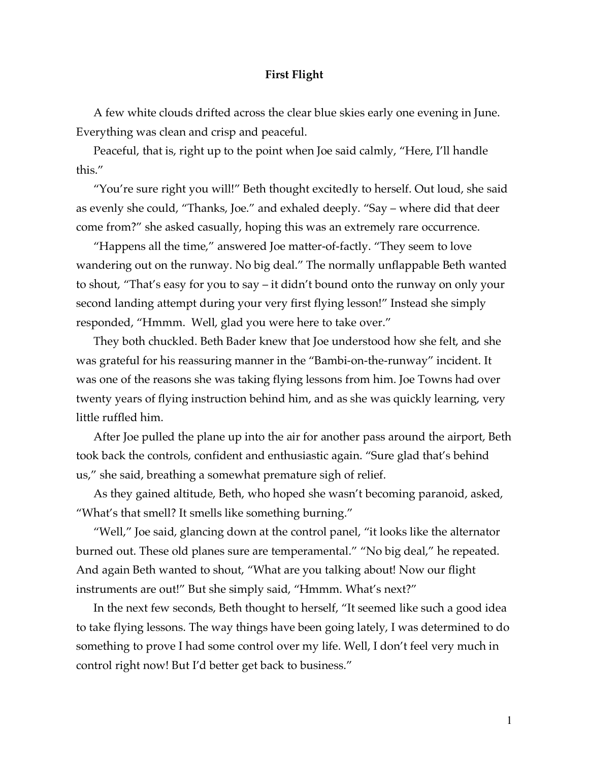## **First Flight**

A few white clouds drifted across the clear blue skies early one evening in June. Everything was clean and crisp and peaceful.

Peaceful, that is, right up to the point when Joe said calmly, "Here, I'll handle this."

"You're sure right you will!" Beth thought excitedly to herself. Out loud, she said as evenly she could, "Thanks, Joe." and exhaled deeply. "Say – where did that deer come from?" she asked casually, hoping this was an extremely rare occurrence.

"Happens all the time," answered Joe matter-of-factly. "They seem to love wandering out on the runway. No big deal." The normally unflappable Beth wanted to shout, "That's easy for you to say – it didn't bound onto the runway on only your second landing attempt during your very first flying lesson!" Instead she simply responded, "Hmmm. Well, glad you were here to take over."

They both chuckled. Beth Bader knew that Joe understood how she felt, and she was grateful for his reassuring manner in the "Bambi-on-the-runway" incident. It was one of the reasons she was taking flying lessons from him. Joe Towns had over twenty years of flying instruction behind him, and as she was quickly learning, very little ruffled him.

After Joe pulled the plane up into the air for another pass around the airport, Beth took back the controls, confident and enthusiastic again. "Sure glad that's behind us," she said, breathing a somewhat premature sigh of relief.

As they gained altitude, Beth, who hoped she wasn't becoming paranoid, asked, "What's that smell? It smells like something burning."

"Well," Joe said, glancing down at the control panel, "it looks like the alternator burned out. These old planes sure are temperamental." "No big deal," he repeated. And again Beth wanted to shout, "What are you talking about! Now our flight instruments are out!" But she simply said, "Hmmm. What's next?"

In the next few seconds, Beth thought to herself, "It seemed like such a good idea to take flying lessons. The way things have been going lately, I was determined to do something to prove I had some control over my life. Well, I don't feel very much in control right now! But I'd better get back to business."